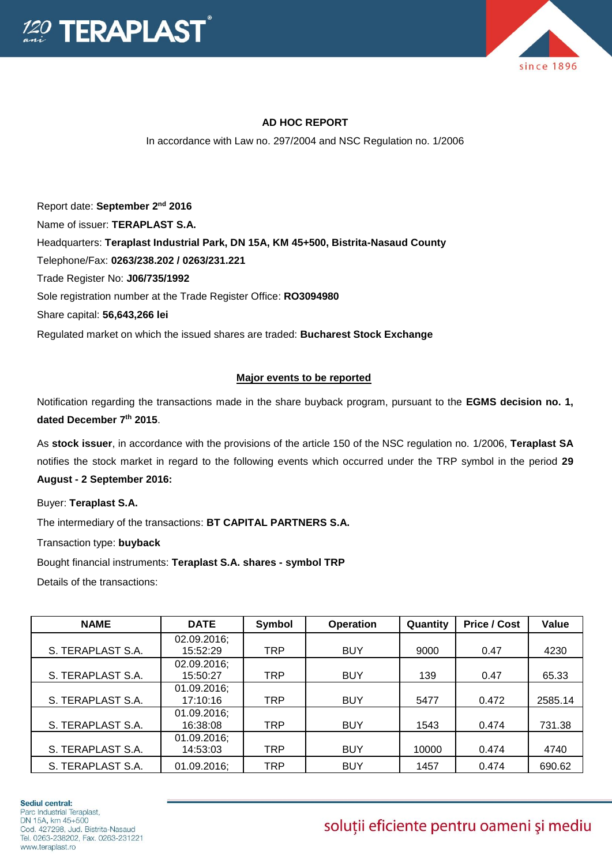



## **AD HOC REPORT**

In accordance with Law no. 297/2004 and NSC Regulation no. 1/2006

Report date: September 2<sup>nd</sup> 2016 Name of issuer: **TERAPLAST S.A.**  Headquarters: **Teraplast Industrial Park, DN 15A, KM 45+500, Bistrita-Nasaud County** Telephone/Fax: **0263/238.202 / 0263/231.221** Trade Register No: **J06/735/1992** Sole registration number at the Trade Register Office: **RO3094980** Share capital: **56,643,266 lei**  Regulated market on which the issued shares are traded: **Bucharest Stock Exchange**

## **Major events to be reported**

Notification regarding the transactions made in the share buyback program, pursuant to the **EGMS decision no. 1, dated December 7th 2015**.

As **stock issuer**, in accordance with the provisions of the article 150 of the NSC regulation no. 1/2006, **Teraplast SA** notifies the stock market in regard to the following events which occurred under the TRP symbol in the period **29 August - 2 September 2016:**

Buyer: **Teraplast S.A.**

The intermediary of the transactions: **BT CAPITAL PARTNERS S.A.**

Transaction type: **buyback**

Bought financial instruments: **Teraplast S.A. shares - symbol TRP**

Details of the transactions:

| <b>NAME</b>       | <b>DATE</b>             | Symbol     | <b>Operation</b> | Quantity | <b>Price / Cost</b> | Value   |
|-------------------|-------------------------|------------|------------------|----------|---------------------|---------|
|                   | 02.09.2016;             |            |                  |          |                     |         |
| S. TERAPLAST S.A. | 15:52:29                | <b>TRP</b> | <b>BUY</b>       | 9000     | 0.47                | 4230    |
| S. TERAPLAST S.A. | 02.09.2016;<br>15:50:27 | <b>TRP</b> | <b>BUY</b>       | 139      | 0.47                | 65.33   |
|                   | 01.09.2016;             |            |                  |          |                     |         |
| S. TERAPLAST S.A. | 17:10:16                | <b>TRP</b> | <b>BUY</b>       | 5477     | 0.472               | 2585.14 |
| S. TERAPLAST S.A. | 01.09.2016;<br>16:38:08 | <b>TRP</b> | <b>BUY</b>       | 1543     | 0.474               | 731.38  |
|                   | 01.09.2016;             |            |                  |          |                     |         |
| S. TERAPLAST S.A. | 14:53:03                | <b>TRP</b> | <b>BUY</b>       | 10000    | 0.474               | 4740    |
| S. TERAPLAST S.A. | 01.09.2016;             | TRP        | <b>BUY</b>       | 1457     | 0.474               | 690.62  |

## soluții eficiente pentru oameni și mediu